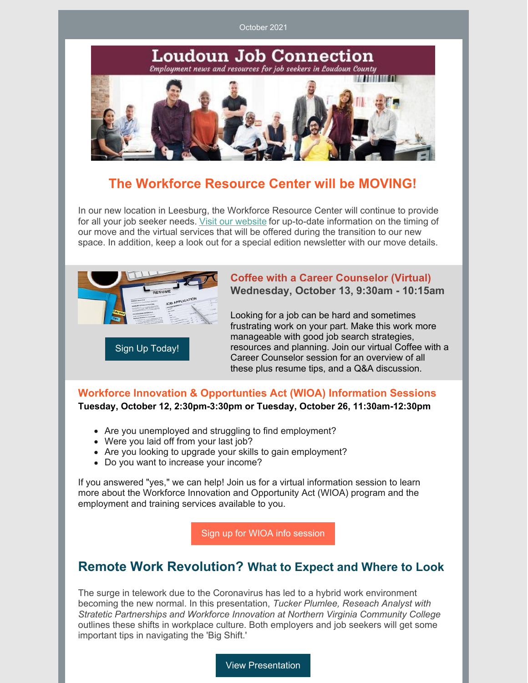October 2021



## **The Workforce Resource Center will be MOVING!**

In our new location in Leesburg, the Workforce Resource Center will continue to provide for all your job seeker needs. Visit our [website](http://www.loudoun.gov/wrc) for up-to-date information on the timing of our move and the virtual services that will be offered during the transition to our new space. In addition, keep a look out for a special edition newsletter with our move details.



### **Coffee with a Career Counselor (Virtual) Wednesday, October 13, 9:30am - 10:15am**

Looking for a job can be hard and sometimes frustrating work on your part. Make this work more manageable with good job search strategies, resources and planning. Join our virtual Coffee with a Career Counselor session for an overview of all these plus resume tips, and a Q&A discussion.

### **Workforce Innovation & Opportunties Act (WIOA) Information Sessions Tuesday, October 12, 2:30pm-3:30pm or Tuesday, October 26, 11:30am-12:30pm**

- Are you unemployed and struggling to find employment?
- Were you laid off from your last job?
- Are you looking to upgrade your skills to gain employment?
- Do you want to increase your income?

If you answered "yes," we can help! Join us for a virtual information session to learn more about the Workforce Innovation and Opportunity Act (WIOA) program and the employment and training services available to you.

Sign up for WIOA info [session](https://www.signupgenius.com/go/10c0548ada623a5fa7-iswioa)

## **Remote Work Revolution? What to Expect and Where to Look**

The surge in telework due to the Coronavirus has led to a hybrid work environment becoming the new normal. In this presentation, *Tucker Plumlee, Reseach Analyst with Stratetic Partnerships and Workforce Innovation at Northern Virginia Community College* outlines these shifts in workplace culture. Both employers and job seekers will get some important tips in navigating the 'Big Shift.'

View [Presentation](https://www.loudoun.gov/DocumentCenter/View/167002/NOVA-Remote-Work-Labor-Market-Study)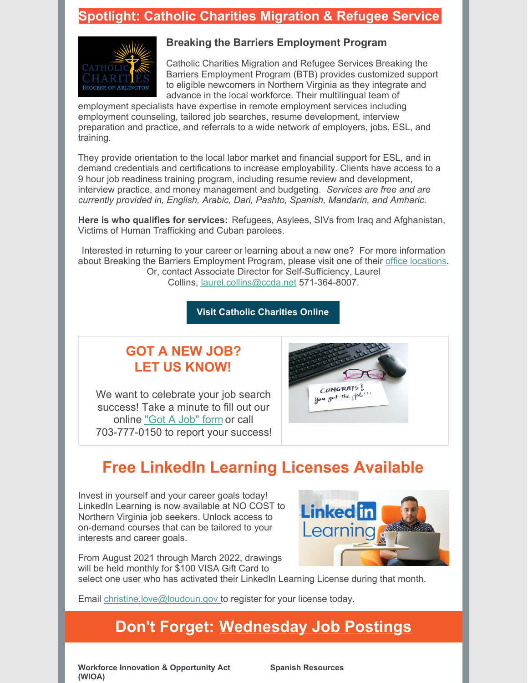### **Spotlight: Catholic Charities Migration & Refugee Service**



### **Breaking the Barriers Employment Program**

Catholic Charities Migration and Refugee Services Breaking the Barriers Employment Program (BTB) provides customized support to eligible newcomers in Northern Virginia as they integrate and advance in the local workforce. Their multilingual team of

employment specialists have expertise in remote employment services including employment counseling, tailored job searches, resume development, interview preparation and practice, and referrals to a wide network of employers, jobs, ESL, and training.

They provide orientation to the local labor market and financial support for ESL, and in demand credentials and certifications to increase employability. Clients have access to a 9 hour job readiness training program, including resume review and development, interview practice, and money management and budgeting. *Services are free and are currently provided in, English, Arabic, Dari, Pashto, Spanish, Mandarin, and Amharic.*

**Here is who qualifies for services:** Refugees, Asylees, SIVs from Iraq and Afghanistan, Victims of Human Trafficking and Cuban parolees.

Interested in returning to your career or learning about a new one? For more information about Breaking the Barriers Employment Program, please visit one of their office [locations](https://www.ccda.net/about-us/our-locations/). Or, contact Associate Director for Self-Sufficiency, Laurel Collins, [laurel.collins@ccda.net](mailto:Laurel.collins@ccda.net) 571-364-8007.

**Visit Catholic [Charities](https://www.catholiccharitiesdc.org/) Online**

## **GOT A NEW JOB? LET US KNOW!**

We want to celebrate your job search success! Take a minute to fill out our online ["Got](https://www.loudoun.gov/FormCenter/Career-Support-Services-2/New-Job-Form-56) A Job" form or call 703-777-0150 to report your success!



# **Free LinkedIn Learning Licenses Available**

Invest in yourself and your career goals today! LinkedIn Learning is now available at NO COST to Northern Virginia job seekers. Unlock access to on-demand courses that can be tailored to your interests and career goals.



From August 2021 through March 2022, drawings will be held monthly for \$100 VISA Gift Card to

select one user who has activated their LinkedIn Learning License during that month.

Email [christine.love@loudoun.gov](mailto:christine.love@loudoun.gov) to register for your license today.

# **Don't Forget: [Wednesday](https://www.loudoun.gov/DocumentCenter/View/162925/Wednesday-Job-Postings?bidId=) Job Postings**

**Workforce Innovation & Opportunity Act (WIOA)**

**Spanish Resources**